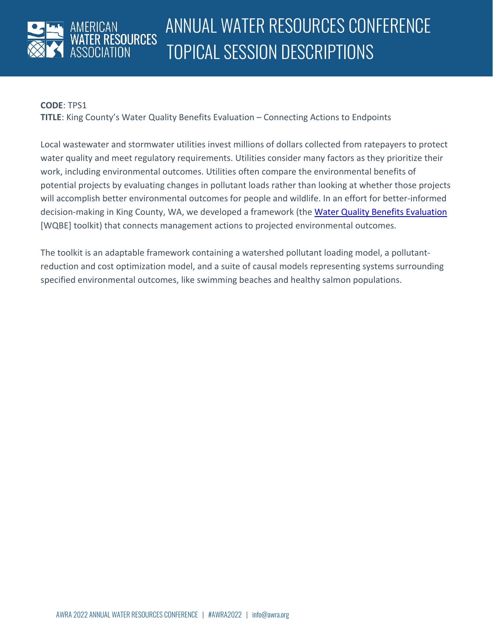

### **CODE**: TPS1

**TITLE**: King County's Water Quality Benefits Evaluation – Connecting Actions to Endpoints

Local wastewater and stormwater utilities invest millions of dollars collected from ratepayers to protect water quality and meet regulatory requirements. Utilities consider many factors as they prioritize their work, including environmental outcomes. Utilities often compare the environmental benefits of potential projects by evaluating changes in pollutant loads rather than looking at whether those projects will accomplish better environmental outcomes for people and wildlife. In an effort for better-informed decision-making in King County, WA, we developed a framework (the [Water Quality Benefits Evaluation](https://kingcounty.gov/elected/executive/constantine/initiatives/clean-water-healthy-habitat/wqbe.aspx) [WQBE] toolkit) that connects management actions to projected environmental outcomes.

The toolkit is an adaptable framework containing a watershed pollutant loading model, a pollutantreduction and cost optimization model, and a suite of causal models representing systems surrounding specified environmental outcomes, like swimming beaches and healthy salmon populations.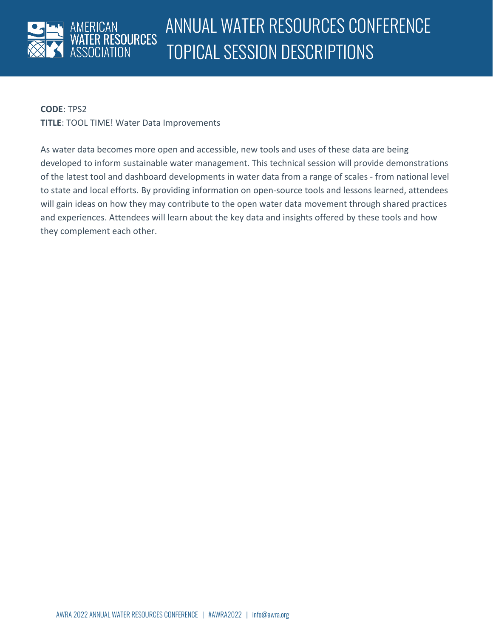

**CODE**: TPS2

**TITLE**: TOOL TIME! Water Data Improvements

As water data becomes more open and accessible, new tools and uses of these data are being developed to inform sustainable water management. This technical session will provide demonstrations of the latest tool and dashboard developments in water data from a range of scales - from national level to state and local efforts. By providing information on open-source tools and lessons learned, attendees will gain ideas on how they may contribute to the open water data movement through shared practices and experiences. Attendees will learn about the key data and insights offered by these tools and how they complement each other.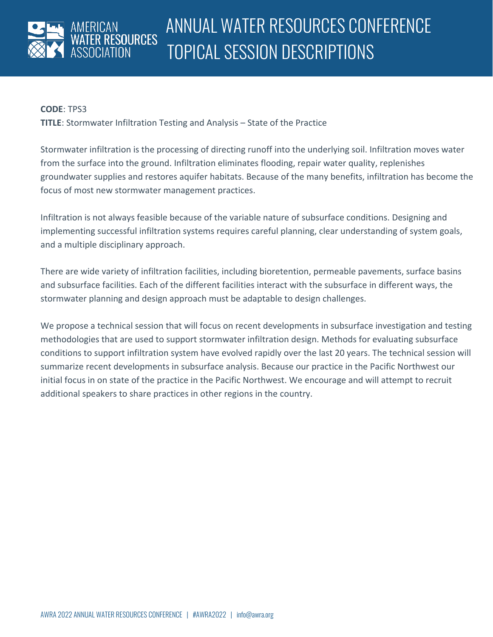

### **CODE**: TPS3

**TITLE**: Stormwater Infiltration Testing and Analysis – State of the Practice

Stormwater infiltration is the processing of directing runoff into the underlying soil. Infiltration moves water from the surface into the ground. Infiltration eliminates flooding, repair water quality, replenishes groundwater supplies and restores aquifer habitats. Because of the many benefits, infiltration has become the focus of most new stormwater management practices.

Infiltration is not always feasible because of the variable nature of subsurface conditions. Designing and implementing successful infiltration systems requires careful planning, clear understanding of system goals, and a multiple disciplinary approach.

There are wide variety of infiltration facilities, including bioretention, permeable pavements, surface basins and subsurface facilities. Each of the different facilities interact with the subsurface in different ways, the stormwater planning and design approach must be adaptable to design challenges.

We propose a technical session that will focus on recent developments in subsurface investigation and testing methodologies that are used to support stormwater infiltration design. Methods for evaluating subsurface conditions to support infiltration system have evolved rapidly over the last 20 years. The technical session will summarize recent developments in subsurface analysis. Because our practice in the Pacific Northwest our initial focus in on state of the practice in the Pacific Northwest. We encourage and will attempt to recruit additional speakers to share practices in other regions in the country.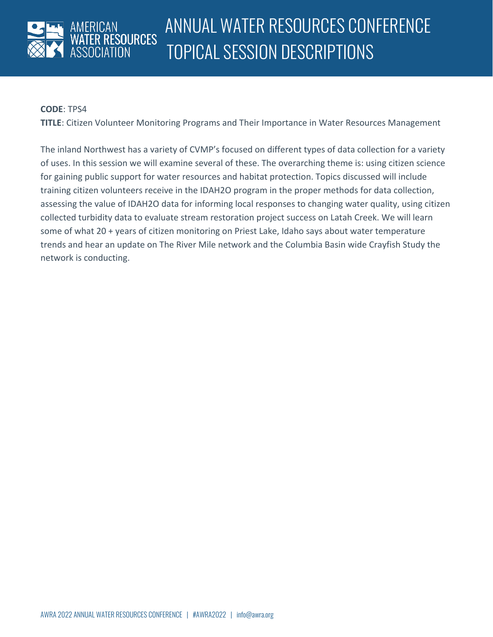

#### **CODE**: TPS4

**TITLE**: Citizen Volunteer Monitoring Programs and Their Importance in Water Resources Management

The inland Northwest has a variety of CVMP's focused on different types of data collection for a variety of uses. In this session we will examine several of these. The overarching theme is: using citizen science for gaining public support for water resources and habitat protection. Topics discussed will include training citizen volunteers receive in the IDAH2O program in the proper methods for data collection, assessing the value of IDAH2O data for informing local responses to changing water quality, using citizen collected turbidity data to evaluate stream restoration project success on Latah Creek. We will learn some of what 20 + years of citizen monitoring on Priest Lake, Idaho says about water temperature trends and hear an update on The River Mile network and the Columbia Basin wide Crayfish Study the network is conducting.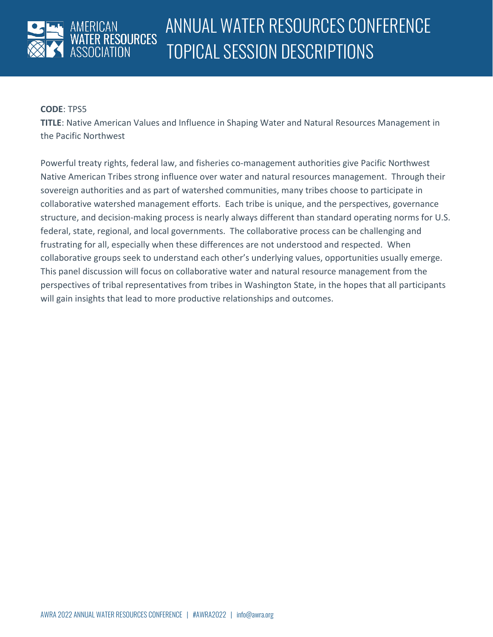

**TITLE**: Native American Values and Influence in Shaping Water and Natural Resources Management in the Pacific Northwest

Powerful treaty rights, federal law, and fisheries co-management authorities give Pacific Northwest Native American Tribes strong influence over water and natural resources management. Through their sovereign authorities and as part of watershed communities, many tribes choose to participate in collaborative watershed management efforts. Each tribe is unique, and the perspectives, governance structure, and decision-making process is nearly always different than standard operating norms for U.S. federal, state, regional, and local governments. The collaborative process can be challenging and frustrating for all, especially when these differences are not understood and respected. When collaborative groups seek to understand each other's underlying values, opportunities usually emerge. This panel discussion will focus on collaborative water and natural resource management from the perspectives of tribal representatives from tribes in Washington State, in the hopes that all participants will gain insights that lead to more productive relationships and outcomes.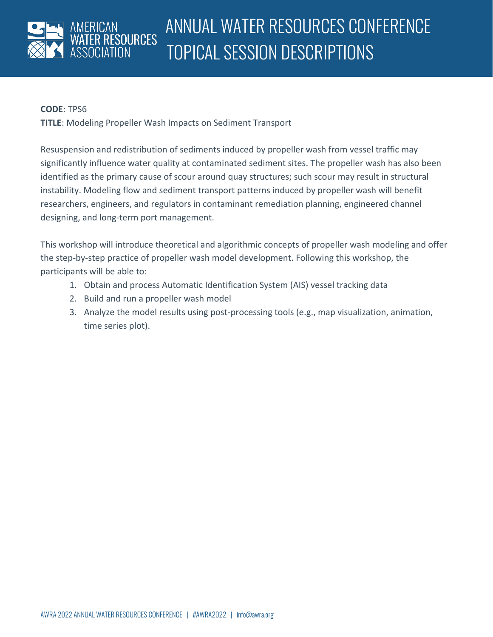

**TITLE**: Modeling Propeller Wash Impacts on Sediment Transport

Resuspension and redistribution of sediments induced by propeller wash from vessel traffic may significantly influence water quality at contaminated sediment sites. The propeller wash has also been identified as the primary cause of scour around quay structures; such scour may result in structural instability. Modeling flow and sediment transport patterns induced by propeller wash will benefit researchers, engineers, and regulators in contaminant remediation planning, engineered channel designing, and long-term port management.

This workshop will introduce theoretical and algorithmic concepts of propeller wash modeling and offer the step-by-step practice of propeller wash model development. Following this workshop, the participants will be able to:

- 1. Obtain and process Automatic Identification System (AIS) vessel tracking data
- 2. Build and run a propeller wash model
- 3. Analyze the model results using post-processing tools (e.g., map visualization, animation, time series plot).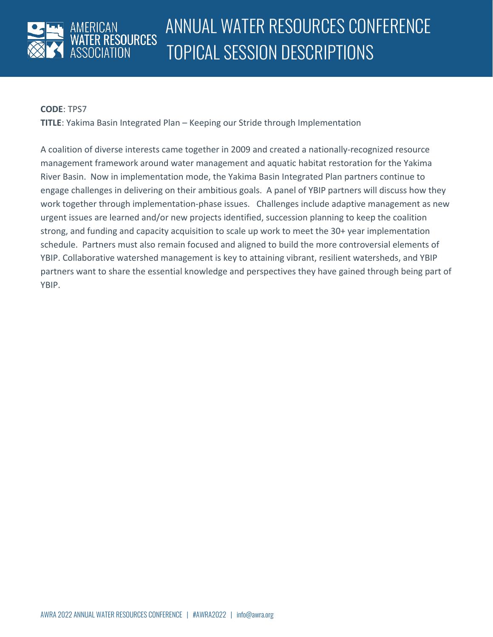

#### **CODE**: TPS7

**TITLE**: Yakima Basin Integrated Plan – Keeping our Stride through Implementation

A coalition of diverse interests came together in 2009 and created a nationally-recognized resource management framework around water management and aquatic habitat restoration for the Yakima River Basin. Now in implementation mode, the Yakima Basin Integrated Plan partners continue to engage challenges in delivering on their ambitious goals. A panel of YBIP partners will discuss how they work together through implementation-phase issues. Challenges include adaptive management as new urgent issues are learned and/or new projects identified, succession planning to keep the coalition strong, and funding and capacity acquisition to scale up work to meet the 30+ year implementation schedule. Partners must also remain focused and aligned to build the more controversial elements of YBIP. Collaborative watershed management is key to attaining vibrant, resilient watersheds, and YBIP partners want to share the essential knowledge and perspectives they have gained through being part of YBIP.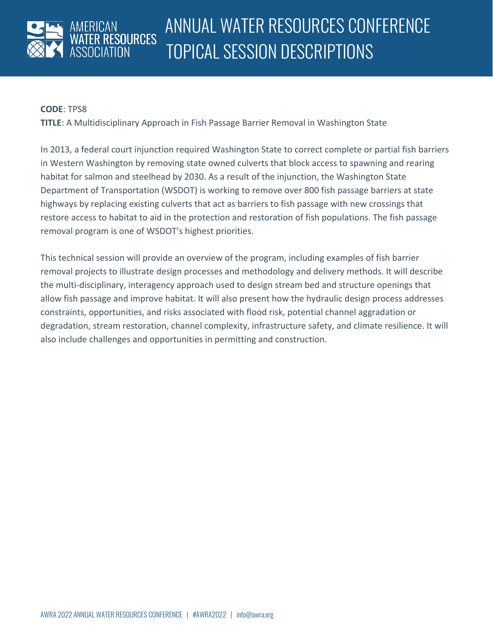

**TITLE**: A Multidisciplinary Approach in Fish Passage Barrier Removal in Washington State

In 2013, a federal court injunction required Washington State to correct complete or partial fish barriers in Western Washington by removing state owned culverts that block access to spawning and rearing habitat for salmon and steelhead by 2030. As a result of the injunction, the Washington State Department of Transportation (WSDOT) is working to remove over 800 fish passage barriers at state highways by replacing existing culverts that act as barriers to fish passage with new crossings that restore access to habitat to aid in the protection and restoration of fish populations. The fish passage removal program is one of WSDOT's highest priorities.

This technical session will provide an overview of the program, including examples of fish barrier removal projects to illustrate design processes and methodology and delivery methods. It will describe the multi-disciplinary, interagency approach used to design stream bed and structure openings that allow fish passage and improve habitat. It will also present how the hydraulic design process addresses constraints, opportunities, and risks associated with flood risk, potential channel aggradation or degradation, stream restoration, channel complexity, infrastructure safety, and climate resilience. It will also include challenges and opportunities in permitting and construction.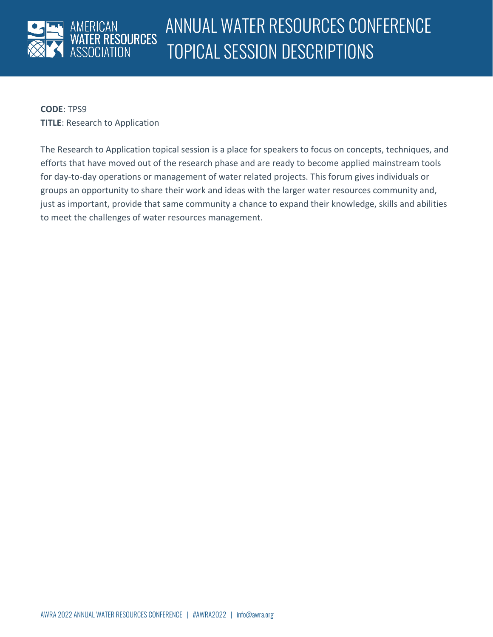

**CODE**: TPS9 **TITLE**: Research to Application

The Research to Application topical session is a place for speakers to focus on concepts, techniques, and efforts that have moved out of the research phase and are ready to become applied mainstream tools for day-to-day operations or management of water related projects. This forum gives individuals or groups an opportunity to share their work and ideas with the larger water resources community and, just as important, provide that same community a chance to expand their knowledge, skills and abilities to meet the challenges of water resources management.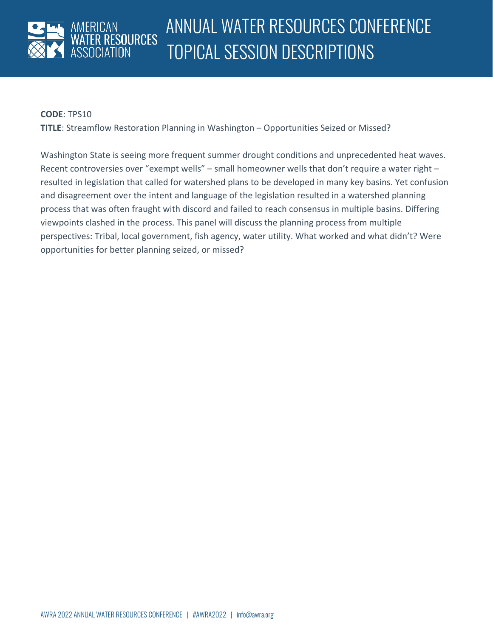

### **CODE**: TPS10

**TITLE**: Streamflow Restoration Planning in Washington – Opportunities Seized or Missed?

Washington State is seeing more frequent summer drought conditions and unprecedented heat waves. Recent controversies over "exempt wells" – small homeowner wells that don't require a water right – resulted in legislation that called for watershed plans to be developed in many key basins. Yet confusion and disagreement over the intent and language of the legislation resulted in a watershed planning process that was often fraught with discord and failed to reach consensus in multiple basins. Differing viewpoints clashed in the process. This panel will discuss the planning process from multiple perspectives: Tribal, local government, fish agency, water utility. What worked and what didn't? Were opportunities for better planning seized, or missed?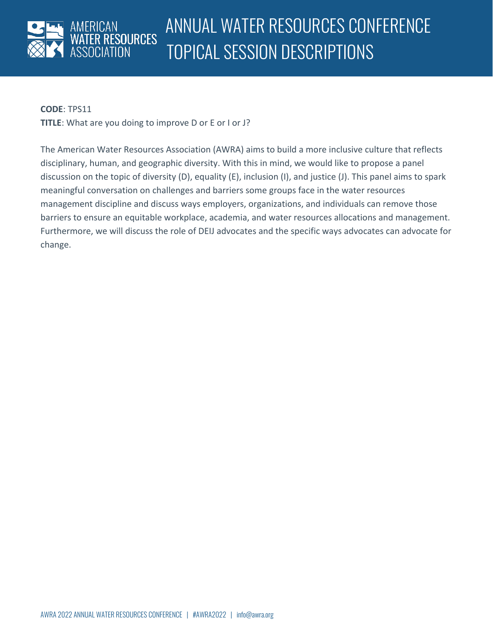

#### **CODE**: TPS11

**TITLE**: What are you doing to improve D or E or I or J?

The American Water Resources Association (AWRA) aims to build a more inclusive culture that reflects disciplinary, human, and geographic diversity. With this in mind, we would like to propose a panel discussion on the topic of diversity (D), equality (E), inclusion (I), and justice (J). This panel aims to spark meaningful conversation on challenges and barriers some groups face in the water resources management discipline and discuss ways employers, organizations, and individuals can remove those barriers to ensure an equitable workplace, academia, and water resources allocations and management. Furthermore, we will discuss the role of DEIJ advocates and the specific ways advocates can advocate for change.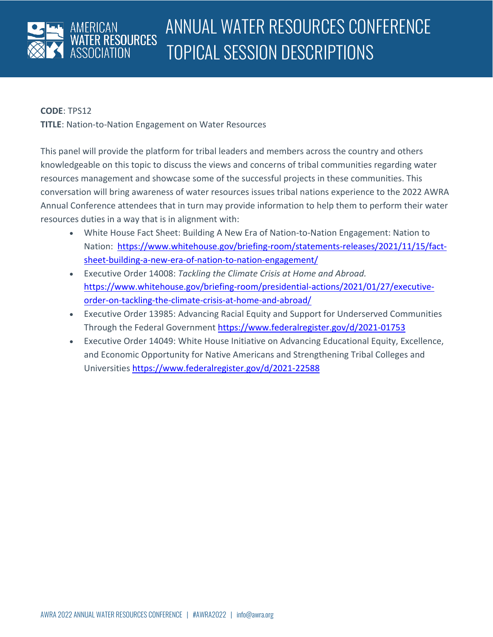

**TITLE**: Nation-to-Nation Engagement on Water Resources

This panel will provide the platform for tribal leaders and members across the country and others knowledgeable on this topic to discuss the views and concerns of tribal communities regarding water resources management and showcase some of the successful projects in these communities. This conversation will bring awareness of water resources issues tribal nations experience to the 2022 AWRA Annual Conference attendees that in turn may provide information to help them to perform their water resources duties in a way that is in alignment with:

- White House Fact Sheet: Building A New Era of Nation-to-Nation Engagement: Nation to Nation: [https://www.whitehouse.gov/briefing-room/statements-releases/2021/11/15/fact](https://www.whitehouse.gov/briefing-room/statements-releases/2021/11/15/fact-sheet-building-a-new-era-of-nation-to-nation-engagement/)[sheet-building-a-new-era-of-nation-to-nation-engagement/](https://www.whitehouse.gov/briefing-room/statements-releases/2021/11/15/fact-sheet-building-a-new-era-of-nation-to-nation-engagement/)
- Executive Order 14008: *Tackling the Climate Crisis at Home and Abroad.*  [https://www.whitehouse.gov/briefing-room/presidential-actions/2021/01/27/executive](https://www.whitehouse.gov/briefing-room/presidential-actions/2021/01/27/executive-order-on-tackling-the-climate-crisis-at-home-and-abroad/)[order-on-tackling-the-climate-crisis-at-home-and-abroad/](https://www.whitehouse.gov/briefing-room/presidential-actions/2021/01/27/executive-order-on-tackling-the-climate-crisis-at-home-and-abroad/)
- Executive Order 13985: Advancing Racial Equity and Support for Underserved Communities Through the Federal Government <https://www.federalregister.gov/d/2021-01753>
- Executive Order 14049: White House Initiative on Advancing Educational Equity, Excellence, and Economic Opportunity for Native Americans and Strengthening Tribal Colleges and Universities <https://www.federalregister.gov/d/2021-22588>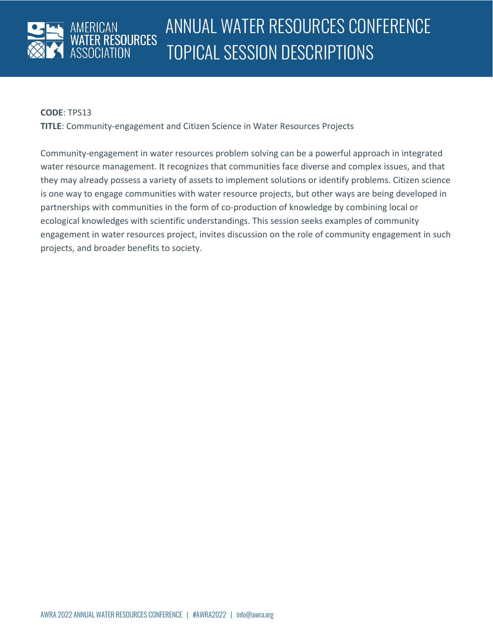

**TITLE**: Community-engagement and Citizen Science in Water Resources Projects

Community-engagement in water resources problem solving can be a powerful approach in integrated water resource management. It recognizes that communities face diverse and complex issues, and that they may already possess a variety of assets to implement solutions or identify problems. Citizen science is one way to engage communities with water resource projects, but other ways are being developed in partnerships with communities in the form of co-production of knowledge by combining local or ecological knowledges with scientific understandings. This session seeks examples of community engagement in water resources project, invites discussion on the role of community engagement in such projects, and broader benefits to society.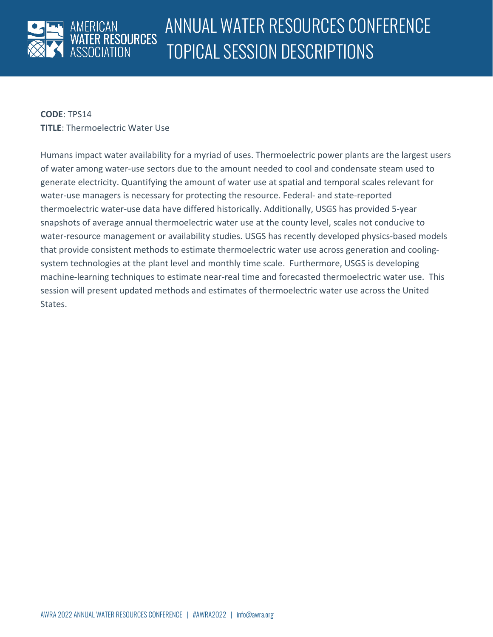

**CODE**: TPS14 **TITLE**: Thermoelectric Water Use

Humans impact water availability for a myriad of uses. Thermoelectric power plants are the largest users of water among water-use sectors due to the amount needed to cool and condensate steam used to generate electricity. Quantifying the amount of water use at spatial and temporal scales relevant for water-use managers is necessary for protecting the resource. Federal- and state-reported thermoelectric water-use data have differed historically. Additionally, USGS has provided 5-year snapshots of average annual thermoelectric water use at the county level, scales not conducive to water-resource management or availability studies. USGS has recently developed physics-based models that provide consistent methods to estimate thermoelectric water use across generation and coolingsystem technologies at the plant level and monthly time scale. Furthermore, USGS is developing machine-learning techniques to estimate near-real time and forecasted thermoelectric water use. This session will present updated methods and estimates of thermoelectric water use across the United States.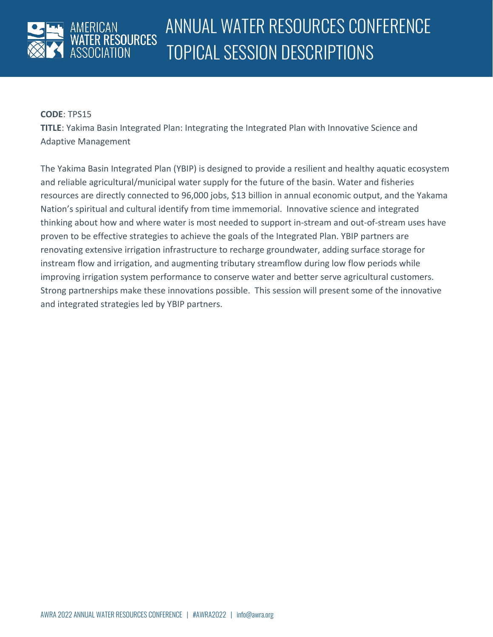

**TITLE**: Yakima Basin Integrated Plan: Integrating the Integrated Plan with Innovative Science and Adaptive Management

The Yakima Basin Integrated Plan (YBIP) is designed to provide a resilient and healthy aquatic ecosystem and reliable agricultural/municipal water supply for the future of the basin. Water and fisheries resources are directly connected to 96,000 jobs, \$13 billion in annual economic output, and the Yakama Nation's spiritual and cultural identify from time immemorial. Innovative science and integrated thinking about how and where water is most needed to support in-stream and out-of-stream uses have proven to be effective strategies to achieve the goals of the Integrated Plan. YBIP partners are renovating extensive irrigation infrastructure to recharge groundwater, adding surface storage for instream flow and irrigation, and augmenting tributary streamflow during low flow periods while improving irrigation system performance to conserve water and better serve agricultural customers. Strong partnerships make these innovations possible. This session will present some of the innovative and integrated strategies led by YBIP partners.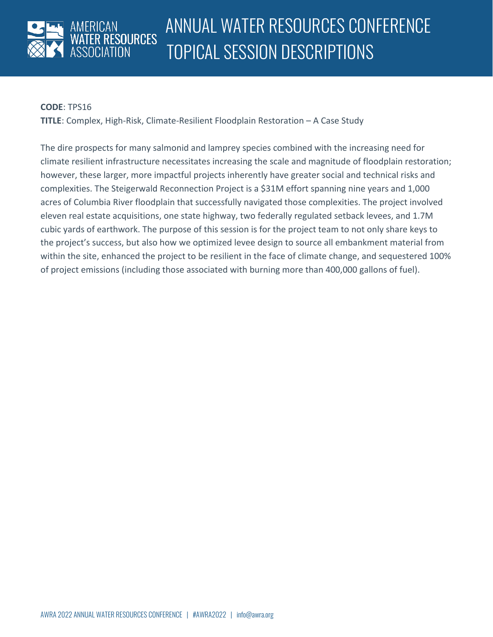

### **CODE**: TPS16

**TITLE**: Complex, High-Risk, Climate-Resilient Floodplain Restoration – A Case Study

The dire prospects for many salmonid and lamprey species combined with the increasing need for climate resilient infrastructure necessitates increasing the scale and magnitude of floodplain restoration; however, these larger, more impactful projects inherently have greater social and technical risks and complexities. The Steigerwald Reconnection Project is a \$31M effort spanning nine years and 1,000 acres of Columbia River floodplain that successfully navigated those complexities. The project involved eleven real estate acquisitions, one state highway, two federally regulated setback levees, and 1.7M cubic yards of earthwork. The purpose of this session is for the project team to not only share keys to the project's success, but also how we optimized levee design to source all embankment material from within the site, enhanced the project to be resilient in the face of climate change, and sequestered 100% of project emissions (including those associated with burning more than 400,000 gallons of fuel).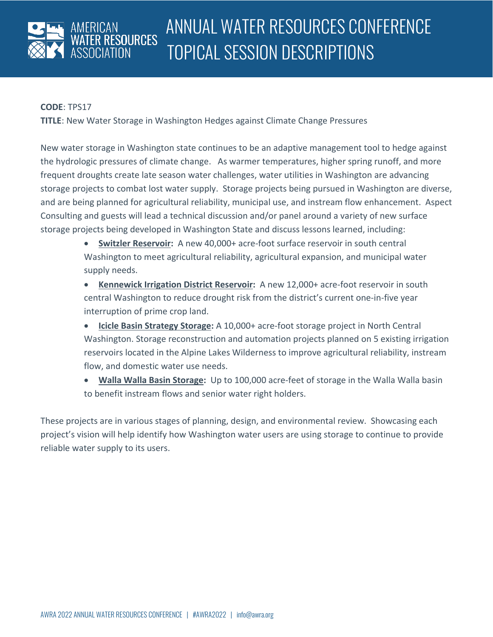

### **CODE**: TPS17

**TITLE**: New Water Storage in Washington Hedges against Climate Change Pressures

New water storage in Washington state continues to be an adaptive management tool to hedge against the hydrologic pressures of climate change. As warmer temperatures, higher spring runoff, and more frequent droughts create late season water challenges, water utilities in Washington are advancing storage projects to combat lost water supply. Storage projects being pursued in Washington are diverse, and are being planned for agricultural reliability, municipal use, and instream flow enhancement. Aspect Consulting and guests will lead a technical discussion and/or panel around a variety of new surface storage projects being developed in Washington State and discuss lessons learned, including:

- **Switzler Reservoir:** A new 40,000+ acre-foot surface reservoir in south central Washington to meet agricultural reliability, agricultural expansion, and municipal water supply needs.
- **Kennewick Irrigation District Reservoir:** A new 12,000+ acre-foot reservoir in south central Washington to reduce drought risk from the district's current one-in-five year interruption of prime crop land.
- **Icicle Basin Strategy Storage:** A 10,000+ acre-foot storage project in North Central Washington. Storage reconstruction and automation projects planned on 5 existing irrigation reservoirs located in the Alpine Lakes Wilderness to improve agricultural reliability, instream flow, and domestic water use needs.
- **Walla Walla Basin Storage:** Up to 100,000 acre-feet of storage in the Walla Walla basin to benefit instream flows and senior water right holders.

These projects are in various stages of planning, design, and environmental review. Showcasing each project's vision will help identify how Washington water users are using storage to continue to provide reliable water supply to its users.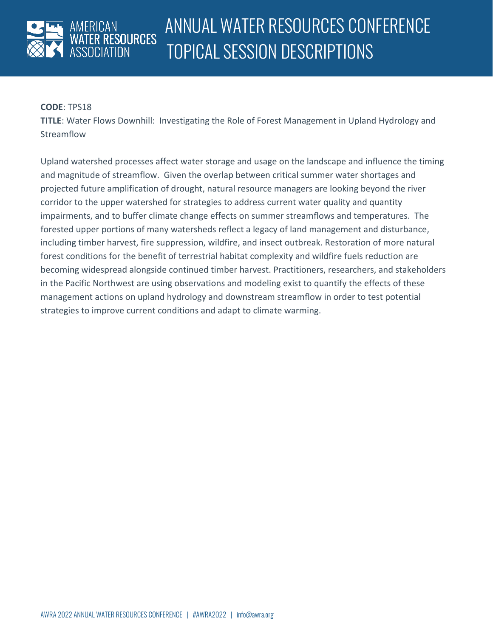

**TITLE**: Water Flows Downhill: Investigating the Role of Forest Management in Upland Hydrology and Streamflow

Upland watershed processes affect water storage and usage on the landscape and influence the timing and magnitude of streamflow. Given the overlap between critical summer water shortages and projected future amplification of drought, natural resource managers are looking beyond the river corridor to the upper watershed for strategies to address current water quality and quantity impairments, and to buffer climate change effects on summer streamflows and temperatures. The forested upper portions of many watersheds reflect a legacy of land management and disturbance, including timber harvest, fire suppression, wildfire, and insect outbreak. Restoration of more natural forest conditions for the benefit of terrestrial habitat complexity and wildfire fuels reduction are becoming widespread alongside continued timber harvest. Practitioners, researchers, and stakeholders in the Pacific Northwest are using observations and modeling exist to quantify the effects of these management actions on upland hydrology and downstream streamflow in order to test potential strategies to improve current conditions and adapt to climate warming.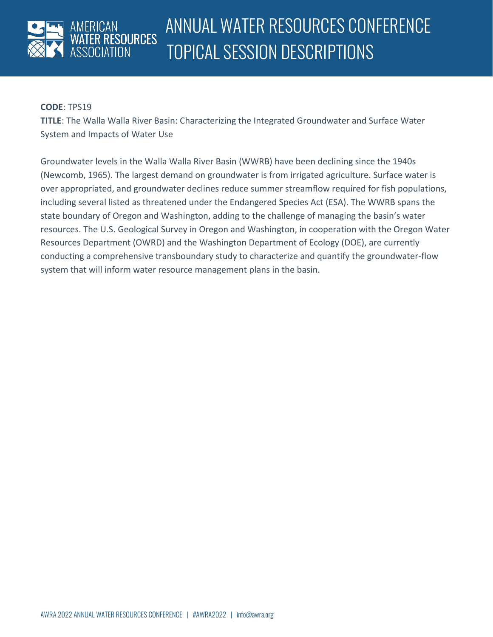

**TITLE**: The Walla Walla River Basin: Characterizing the Integrated Groundwater and Surface Water System and Impacts of Water Use

Groundwater levels in the Walla Walla River Basin (WWRB) have been declining since the 1940s (Newcomb, 1965). The largest demand on groundwater is from irrigated agriculture. Surface water is over appropriated, and groundwater declines reduce summer streamflow required for fish populations, including several listed as threatened under the Endangered Species Act (ESA). The WWRB spans the state boundary of Oregon and Washington, adding to the challenge of managing the basin's water resources. The U.S. Geological Survey in Oregon and Washington, in cooperation with the Oregon Water Resources Department (OWRD) and the Washington Department of Ecology (DOE), are currently conducting a comprehensive transboundary study to characterize and quantify the groundwater-flow system that will inform water resource management plans in the basin.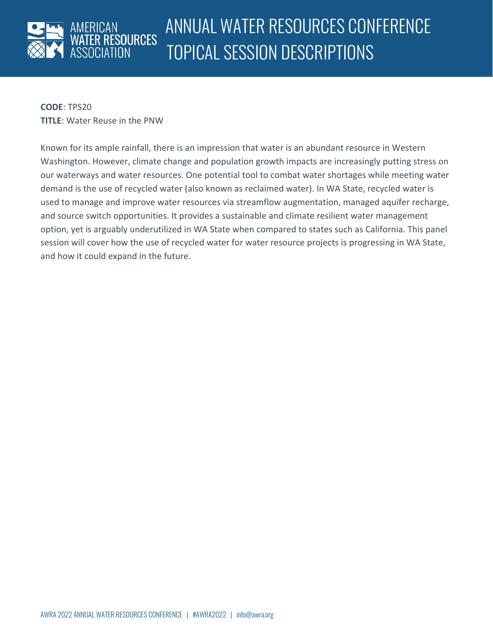

**CODE**: TPS20 **TITLE**: Water Reuse in the PNW

Known for its ample rainfall, there is an impression that water is an abundant resource in Western Washington. However, climate change and population growth impacts are increasingly putting stress on our waterways and water resources. One potential tool to combat water shortages while meeting water demand is the use of recycled water (also known as reclaimed water). In WA State, recycled water is used to manage and improve water resources via streamflow augmentation, managed aquifer recharge, and source switch opportunities. It provides a sustainable and climate resilient water management option, yet is arguably underutilized in WA State when compared to states such as California. This panel session will cover how the use of recycled water for water resource projects is progressing in WA State, and how it could expand in the future.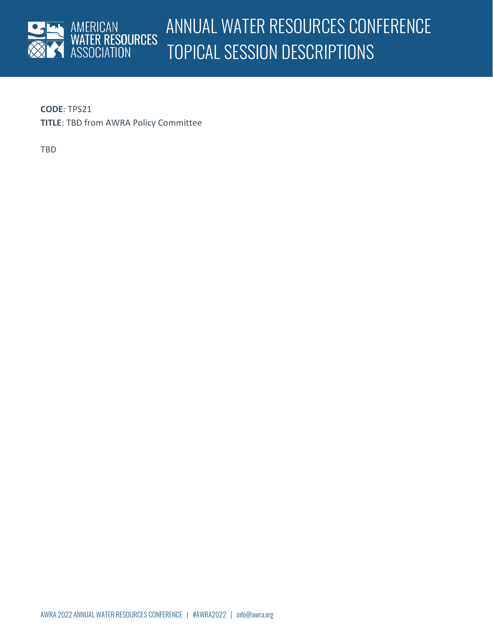

**CODE**: TPS21 **TITLE**: TBD from AWRA Policy Committee

TBD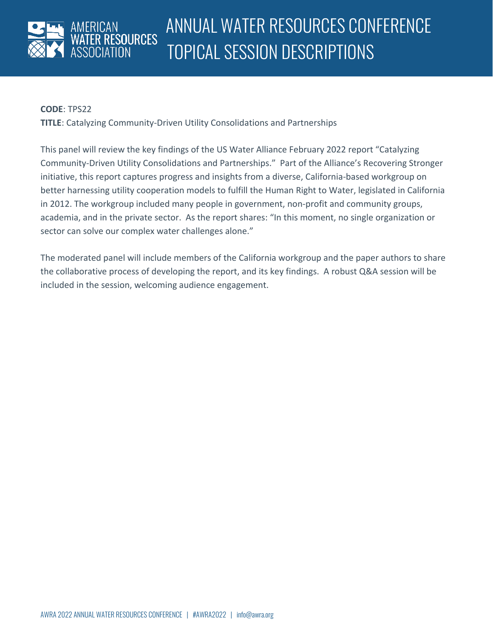

**TITLE**: Catalyzing Community-Driven Utility Consolidations and Partnerships

This panel will review the key findings of the US Water Alliance February 2022 report "Catalyzing Community-Driven Utility Consolidations and Partnerships." Part of the Alliance's Recovering Stronger initiative, this report captures progress and insights from a diverse, California-based workgroup on better harnessing utility cooperation models to fulfill the Human Right to Water, legislated in California in 2012. The workgroup included many people in government, non-profit and community groups, academia, and in the private sector. As the report shares: "In this moment, no single organization or sector can solve our complex water challenges alone."

The moderated panel will include members of the California workgroup and the paper authors to share the collaborative process of developing the report, and its key findings. A robust Q&A session will be included in the session, welcoming audience engagement.